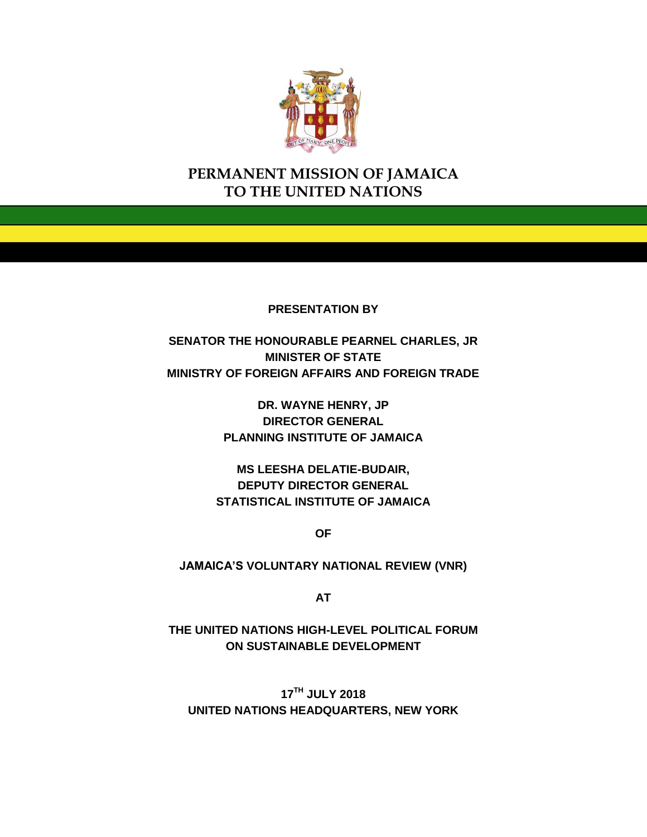

# **PERMANENT MISSION OF JAMAICA TO THE UNITED NATIONS**

**PRESENTATION BY**

**SENATOR THE HONOURABLE PEARNEL CHARLES, JR MINISTER OF STATE MINISTRY OF FOREIGN AFFAIRS AND FOREIGN TRADE**

> **DR. WAYNE HENRY, JP DIRECTOR GENERAL PLANNING INSTITUTE OF JAMAICA**

**MS LEESHA DELATIE-BUDAIR, DEPUTY DIRECTOR GENERAL STATISTICAL INSTITUTE OF JAMAICA** 

**OF**

**JAMAICA'S VOLUNTARY NATIONAL REVIEW (VNR)**

**AT**

**THE UNITED NATIONS HIGH-LEVEL POLITICAL FORUM ON SUSTAINABLE DEVELOPMENT**

**17TH JULY 2018 UNITED NATIONS HEADQUARTERS, NEW YORK**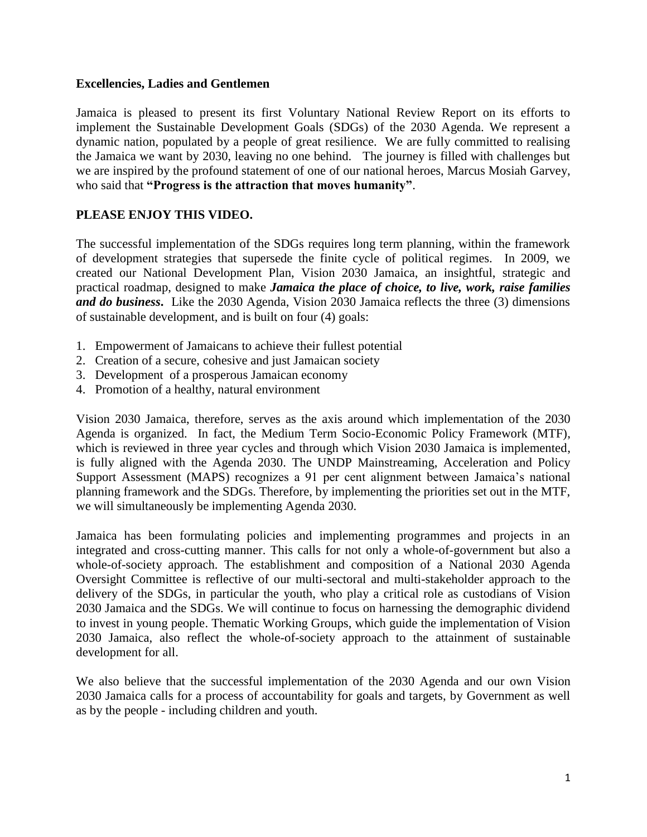#### **Excellencies, Ladies and Gentlemen**

Jamaica is pleased to present its first Voluntary National Review Report on its efforts to implement the Sustainable Development Goals (SDGs) of the 2030 Agenda. We represent a dynamic nation, populated by a people of great resilience. We are fully committed to realising the Jamaica we want by 2030, leaving no one behind. The journey is filled with challenges but we are inspired by the profound statement of one of our national heroes, Marcus Mosiah Garvey, who said that **"Progress is the attraction that moves humanity"**.

#### **PLEASE ENJOY THIS VIDEO.**

The successful implementation of the SDGs requires long term planning, within the framework of development strategies that supersede the finite cycle of political regimes. In 2009, we created our National Development Plan, Vision 2030 Jamaica, an insightful, strategic and practical roadmap, designed to make *Jamaica the place of choice, to live, work, raise families and do business***.** Like the 2030 Agenda, Vision 2030 Jamaica reflects the three (3) dimensions of sustainable development, and is built on four (4) goals:

- 1. Empowerment of Jamaicans to achieve their fullest potential
- 2. Creation of a secure, cohesive and just Jamaican society
- 3. Development of a prosperous Jamaican economy
- 4. Promotion of a healthy, natural environment

Vision 2030 Jamaica, therefore, serves as the axis around which implementation of the 2030 Agenda is organized. In fact, the Medium Term Socio-Economic Policy Framework (MTF), which is reviewed in three year cycles and through which Vision 2030 Jamaica is implemented, is fully aligned with the Agenda 2030. The UNDP Mainstreaming, Acceleration and Policy Support Assessment (MAPS) recognizes a 91 per cent alignment between Jamaica's national planning framework and the SDGs. Therefore, by implementing the priorities set out in the MTF, we will simultaneously be implementing Agenda 2030.

Jamaica has been formulating policies and implementing programmes and projects in an integrated and cross-cutting manner. This calls for not only a whole-of-government but also a whole-of-society approach. The establishment and composition of a National 2030 Agenda Oversight Committee is reflective of our multi-sectoral and multi-stakeholder approach to the delivery of the SDGs, in particular the youth, who play a critical role as custodians of Vision 2030 Jamaica and the SDGs. We will continue to focus on harnessing the demographic dividend to invest in young people. Thematic Working Groups, which guide the implementation of Vision 2030 Jamaica, also reflect the whole-of-society approach to the attainment of sustainable development for all.

We also believe that the successful implementation of the 2030 Agenda and our own Vision 2030 Jamaica calls for a process of accountability for goals and targets, by Government as well as by the people - including children and youth.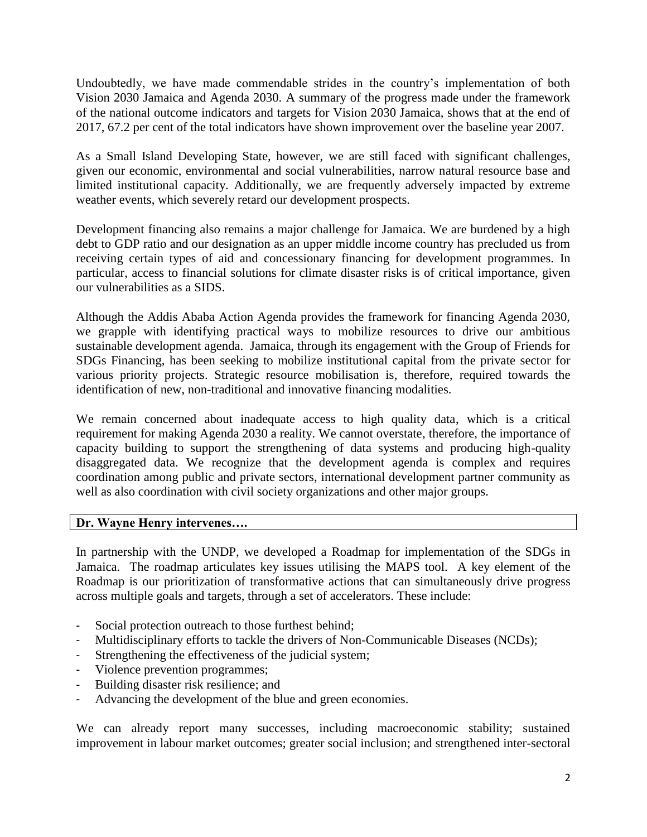Undoubtedly, we have made commendable strides in the country's implementation of both Vision 2030 Jamaica and Agenda 2030. A summary of the progress made under the framework of the national outcome indicators and targets for Vision 2030 Jamaica, shows that at the end of 2017, 67.2 per cent of the total indicators have shown improvement over the baseline year 2007.

As a Small Island Developing State, however, we are still faced with significant challenges, given our economic, environmental and social vulnerabilities, narrow natural resource base and limited institutional capacity. Additionally, we are frequently adversely impacted by extreme weather events, which severely retard our development prospects.

Development financing also remains a major challenge for Jamaica. We are burdened by a high debt to GDP ratio and our designation as an upper middle income country has precluded us from receiving certain types of aid and concessionary financing for development programmes. In particular, access to financial solutions for climate disaster risks is of critical importance, given our vulnerabilities as a SIDS.

Although the Addis Ababa Action Agenda provides the framework for financing Agenda 2030, we grapple with identifying practical ways to mobilize resources to drive our ambitious sustainable development agenda. Jamaica, through its engagement with the Group of Friends for SDGs Financing, has been seeking to mobilize institutional capital from the private sector for various priority projects. Strategic resource mobilisation is, therefore, required towards the identification of new, non-traditional and innovative financing modalities.

We remain concerned about inadequate access to high quality data, which is a critical requirement for making Agenda 2030 a reality. We cannot overstate, therefore, the importance of capacity building to support the strengthening of data systems and producing high-quality disaggregated data. We recognize that the development agenda is complex and requires coordination among public and private sectors, international development partner community as well as also coordination with civil society organizations and other major groups.

### **Dr. Wayne Henry intervenes….**

In partnership with the UNDP, we developed a Roadmap for implementation of the SDGs in Jamaica. The roadmap articulates key issues utilising the MAPS tool. A key element of the Roadmap is our prioritization of transformative actions that can simultaneously drive progress across multiple goals and targets, through a set of accelerators. These include:

- Social protection outreach to those furthest behind;
- Multidisciplinary efforts to tackle the drivers of Non-Communicable Diseases (NCDs);
- Strengthening the effectiveness of the judicial system;
- Violence prevention programmes;
- Building disaster risk resilience; and
- Advancing the development of the blue and green economies.

We can already report many successes, including macroeconomic stability; sustained improvement in labour market outcomes; greater social inclusion; and strengthened inter-sectoral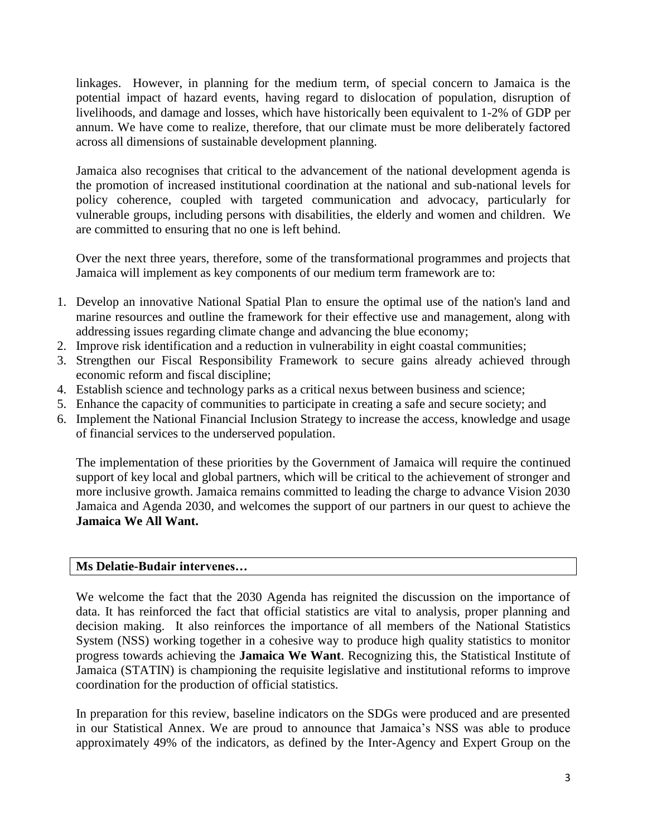linkages. However, in planning for the medium term, of special concern to Jamaica is the potential impact of hazard events, having regard to dislocation of population, disruption of livelihoods, and damage and losses, which have historically been equivalent to 1-2% of GDP per annum. We have come to realize, therefore, that our climate must be more deliberately factored across all dimensions of sustainable development planning.

Jamaica also recognises that critical to the advancement of the national development agenda is the promotion of increased institutional coordination at the national and sub-national levels for policy coherence, coupled with targeted communication and advocacy, particularly for vulnerable groups, including persons with disabilities, the elderly and women and children. We are committed to ensuring that no one is left behind.

Over the next three years, therefore, some of the transformational programmes and projects that Jamaica will implement as key components of our medium term framework are to:

- 1. Develop an innovative National Spatial Plan to ensure the optimal use of the nation's land and marine resources and outline the framework for their effective use and management, along with addressing issues regarding climate change and advancing the blue economy;
- 2. Improve risk identification and a reduction in vulnerability in eight coastal communities;
- 3. Strengthen our Fiscal Responsibility Framework to secure gains already achieved through economic reform and fiscal discipline;
- 4. Establish science and technology parks as a critical nexus between business and science;
- 5. Enhance the capacity of communities to participate in creating a safe and secure society; and
- 6. Implement the National Financial Inclusion Strategy to increase the access, knowledge and usage of financial services to the underserved population.

The implementation of these priorities by the Government of Jamaica will require the continued support of key local and global partners, which will be critical to the achievement of stronger and more inclusive growth. Jamaica remains committed to leading the charge to advance Vision 2030 Jamaica and Agenda 2030, and welcomes the support of our partners in our quest to achieve the **Jamaica We All Want.**

### **Ms Delatie-Budair intervenes…**

We welcome the fact that the 2030 Agenda has reignited the discussion on the importance of data. It has reinforced the fact that official statistics are vital to analysis, proper planning and decision making. It also reinforces the importance of all members of the National Statistics System (NSS) working together in a cohesive way to produce high quality statistics to monitor progress towards achieving the **Jamaica We Want**. Recognizing this, the Statistical Institute of Jamaica (STATIN) is championing the requisite legislative and institutional reforms to improve coordination for the production of official statistics.

In preparation for this review, baseline indicators on the SDGs were produced and are presented in our Statistical Annex. We are proud to announce that Jamaica's NSS was able to produce approximately 49% of the indicators, as defined by the Inter-Agency and Expert Group on the